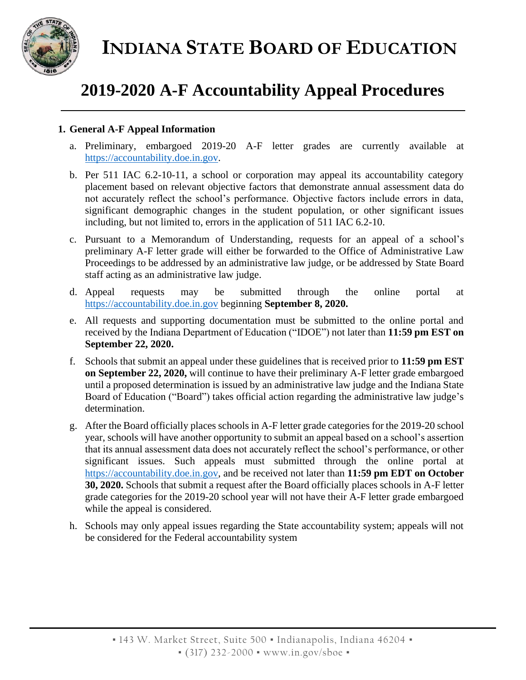



# **2019-2020 A-F Accountability Appeal Procedures**

## **1. General A-F Appeal Information**

- a. Preliminary, embargoed 2019-20 A-F letter grades are currently available at https://accountability.doe.in.gov.
- b. Per 511 IAC 6.2-10-11, a school or corporation may appeal its accountability category placement based on relevant objective factors that demonstrate annual assessment data do not accurately reflect the school's performance. Objective factors include errors in data, significant demographic changes in the student population, or other significant issues including, but not limited to, errors in the application of 511 IAC 6.2-10.
- c. Pursuant to a Memorandum of Understanding, requests for an appeal of a school's preliminary A-F letter grade will either be forwarded to the Office of Administrative Law Proceedings to be addressed by an administrative law judge, or be addressed by State Board staff acting as an administrative law judge.
- d. Appeal requests may be submitted through the online portal at https://accountability.doe.in.gov beginning **September 8, 2020.**
- e. All requests and supporting documentation must be submitted to the online portal and received by the Indiana Department of Education ("IDOE") not later than **11:59 pm EST on September 22, 2020.**
- f. Schools that submit an appeal under these guidelines that is received prior to **11:59 pm EST on September 22, 2020,** will continue to have their preliminary A-F letter grade embargoed until a proposed determination is issued by an administrative law judge and the Indiana State Board of Education ("Board") takes official action regarding the administrative law judge's determination.
- g. After the Board officially places schools in A-F letter grade categories for the 2019-20 school year, schools will have another opportunity to submit an appeal based on a school's assertion that its annual assessment data does not accurately reflect the school's performance, or other significant issues. Such appeals must submitted through the online portal at https://accountability.doe.in.gov, and be received not later than **11:59 pm EDT on October 30, 2020.** Schools that submit a request after the Board officially places schools in A-F letter grade categories for the 2019-20 school year will not have their A-F letter grade embargoed while the appeal is considered.
- h. Schools may only appeal issues regarding the State accountability system; appeals will not be considered for the Federal accountability system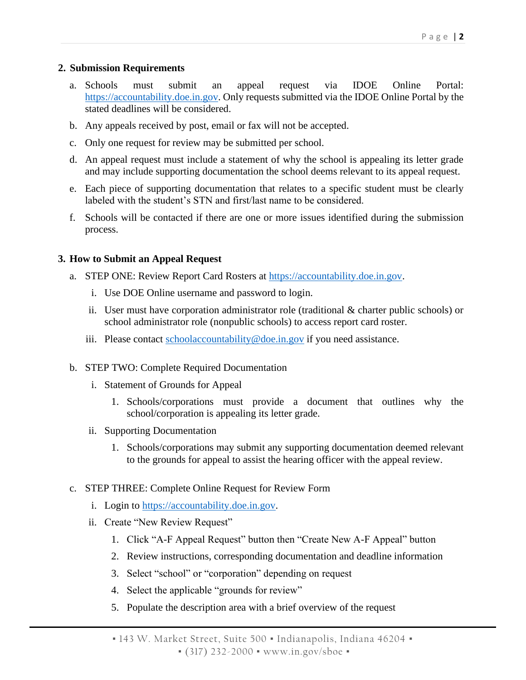### **2. Submission Requirements**

- a. Schools must submit an appeal request via IDOE Online Portal: https://accountability.doe.in.gov. Only requests submitted via the IDOE Online Portal by the stated deadlines will be considered.
- b. Any appeals received by post, email or fax will not be accepted.
- c. Only one request for review may be submitted per school.
- d. An appeal request must include a statement of why the school is appealing its letter grade and may include supporting documentation the school deems relevant to its appeal request.
- e. Each piece of supporting documentation that relates to a specific student must be clearly labeled with the student's STN and first/last name to be considered.
- f. Schools will be contacted if there are one or more issues identified during the submission process.

## **3. How to Submit an Appeal Request**

- a. STEP ONE: Review Report Card Rosters at https://accountability.doe.in.gov.
	- i. Use DOE Online username and password to login.
	- ii. User must have corporation administrator role (traditional & charter public schools) or school administrator role (nonpublic schools) to access report card roster.
	- iii. Please contact  $\frac{\text{school} \alpha \text{ countability} @ \text{doe.in.gov}}{\text{doe.in.gov}}$  if you need assistance.
- b. STEP TWO: Complete Required Documentation
	- i. Statement of Grounds for Appeal
		- 1. Schools/corporations must provide a document that outlines why the school/corporation is appealing its letter grade.
	- ii. Supporting Documentation
		- 1. Schools/corporations may submit any supporting documentation deemed relevant to the grounds for appeal to assist the hearing officer with the appeal review.
- c. STEP THREE: Complete Online Request for Review Form
	- i. Login to https://accountability.doe.in.gov.
	- ii. Create "New Review Request"
		- 1. Click "A-F Appeal Request" button then "Create New A-F Appeal" button
		- 2. Review instructions, corresponding documentation and deadline information
		- 3. Select "school" or "corporation" depending on request
		- 4. Select the applicable "grounds for review"
		- 5. Populate the description area with a brief overview of the request